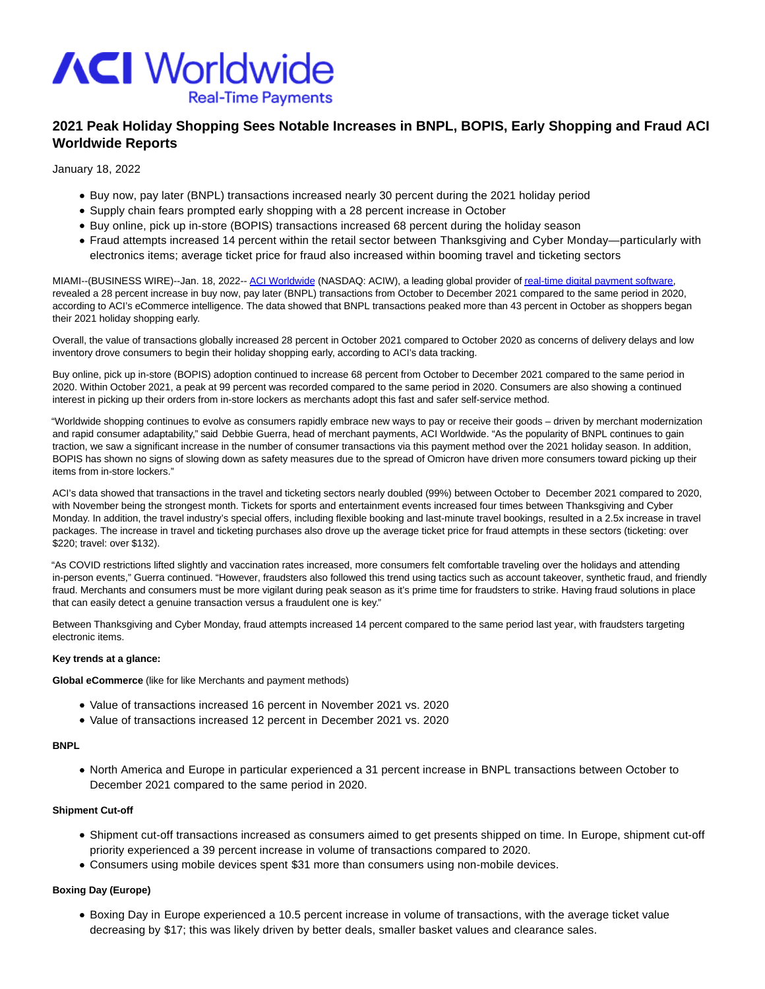

# **2021 Peak Holiday Shopping Sees Notable Increases in BNPL, BOPIS, Early Shopping and Fraud ACI Worldwide Reports**

January 18, 2022

- Buy now, pay later (BNPL) transactions increased nearly 30 percent during the 2021 holiday period
- Supply chain fears prompted early shopping with a 28 percent increase in October
- Buy online, pick up in-store (BOPIS) transactions increased 68 percent during the holiday season
- Fraud attempts increased 14 percent within the retail sector between Thanksgiving and Cyber Monday—particularly with electronics items; average ticket price for fraud also increased within booming travel and ticketing sectors

MIAMI--(BUSINESS WIRE)--Jan. 18, 2022-- [ACI Worldwide \(](https://cts.businesswire.com/ct/CT?id=smartlink&url=https%3A%2F%2Fwww.aciworldwide.com%2F&esheet=52563900&newsitemid=20220117005547&lan=en-US&anchor=ACI+Worldwide&index=1&md5=75f262a39ac04256decfeeb6a5ab4b96)NASDAQ: ACIW), a leading global provider o[f real-time digital payment software,](https://cts.businesswire.com/ct/CT?id=smartlink&url=https%3A%2F%2Fwww.aciworldwide.com%2Fabout-aci&esheet=52563900&newsitemid=20220117005547&lan=en-US&anchor=real-time+digital+payment+software&index=2&md5=b9bfdb2b5af43a53b05b2d55e4cb9136) revealed a 28 percent increase in buy now, pay later (BNPL) transactions from October to December 2021 compared to the same period in 2020, according to ACI's eCommerce intelligence. The data showed that BNPL transactions peaked more than 43 percent in October as shoppers began their 2021 holiday shopping early.

Overall, the value of transactions globally increased 28 percent in October 2021 compared to October 2020 as concerns of delivery delays and low inventory drove consumers to begin their holiday shopping early, according to ACI's data tracking.

Buy online, pick up in-store (BOPIS) adoption continued to increase 68 percent from October to December 2021 compared to the same period in 2020. Within October 2021, a peak at 99 percent was recorded compared to the same period in 2020. Consumers are also showing a continued interest in picking up their orders from in-store lockers as merchants adopt this fast and safer self-service method.

"Worldwide shopping continues to evolve as consumers rapidly embrace new ways to pay or receive their goods – driven by merchant modernization and rapid consumer adaptability," said Debbie Guerra, head of merchant payments, ACI Worldwide. "As the popularity of BNPL continues to gain traction, we saw a significant increase in the number of consumer transactions via this payment method over the 2021 holiday season. In addition, BOPIS has shown no signs of slowing down as safety measures due to the spread of Omicron have driven more consumers toward picking up their items from in-store lockers."

ACI's data showed that transactions in the travel and ticketing sectors nearly doubled (99%) between October to December 2021 compared to 2020, with November being the strongest month. Tickets for sports and entertainment events increased four times between Thanksgiving and Cyber Monday. In addition, the travel industry's special offers, including flexible booking and last-minute travel bookings, resulted in a 2.5x increase in travel packages. The increase in travel and ticketing purchases also drove up the average ticket price for fraud attempts in these sectors (ticketing: over \$220; travel: over \$132).

"As COVID restrictions lifted slightly and vaccination rates increased, more consumers felt comfortable traveling over the holidays and attending in-person events," Guerra continued. "However, fraudsters also followed this trend using tactics such as account takeover, synthetic fraud, and friendly fraud. Merchants and consumers must be more vigilant during peak season as it's prime time for fraudsters to strike. Having fraud solutions in place that can easily detect a genuine transaction versus a fraudulent one is key."

Between Thanksgiving and Cyber Monday, fraud attempts increased 14 percent compared to the same period last year, with fraudsters targeting electronic items.

### **Key trends at a glance:**

**Global eCommerce** (like for like Merchants and payment methods)

- Value of transactions increased 16 percent in November 2021 vs. 2020
- Value of transactions increased 12 percent in December 2021 vs. 2020

### **BNPL**

North America and Europe in particular experienced a 31 percent increase in BNPL transactions between October to December 2021 compared to the same period in 2020.

### **Shipment Cut-off**

- Shipment cut-off transactions increased as consumers aimed to get presents shipped on time. In Europe, shipment cut-off priority experienced a 39 percent increase in volume of transactions compared to 2020.
- Consumers using mobile devices spent \$31 more than consumers using non-mobile devices.

### **Boxing Day (Europe)**

Boxing Day in Europe experienced a 10.5 percent increase in volume of transactions, with the average ticket value decreasing by \$17; this was likely driven by better deals, smaller basket values and clearance sales.